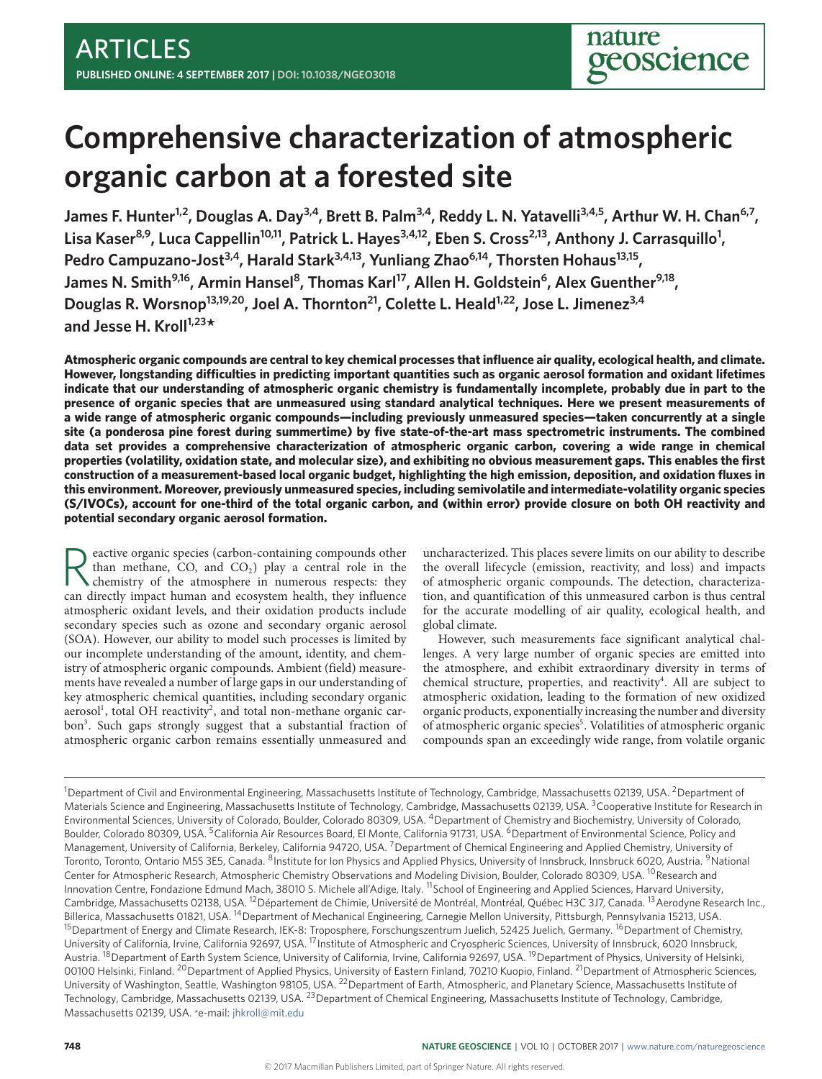# **Comprehensive characterization of atmospheric organic carbon at a forested site**

**James F. Hunter1,2, Douglas A. Day3,4, Brett B. Palm3,4, Reddy L. N. Yatavelli3,4,5, Arthur W. H. Chan6,7 , Lisa Kaser8,9, Luca Cappellin10,11, Patrick L. Hayes3,4,12, Eben S. Cross2,13, Anthony J. Carrasquillo1 , Pedro Campuzano-Jost3,4, Harald Stark3,4,13, Yunliang Zhao6,14, Thorsten Hohaus13,15 , James N. Smith9,16, Armin Hansel<sup>8</sup> , Thomas Karl17, Allen H. Goldstein6 , Alex Guenther9,18 , Douglas R. Worsnop13,19,20, Joel A. Thornton21, Colette L. Heald1,22, Jose L. Jimenez3,4 and Jesse H. Kroll1,23\***

**Atmospheric organic compounds are central to key chemical processes that influence air quality, ecological health, and climate.** However, longstanding difficulties in predicting important quantities such as organic aerosol formation and oxidant lifetimes **indicate that our understanding of atmospheric organic chemistry is fundamentally incomplete, probably due in part to the presence of organic species that are unmeasured using standard analytical techniques. Here we present measurements of a wide range of atmospheric organic compounds—including previously unmeasured species—taken concurrently at a single site (a ponderosa pine forest during summertime) by five state-of-the-art mass spectrometric instruments. The combined data set provides a comprehensive characterization of atmospheric organic carbon, covering a wide range in chemical properties (volatility, oxidation state, and molecular size), and exhibiting no obvious measurement gaps. This enables the first construction of a measurement-based local organic budget, highlighting the high emission, deposition, and oxidation fluxes in this environment. Moreover, previously unmeasured species, including semivolatile and intermediate-volatility organic species (S/IVOCs), account for one-third of the total organic carbon, and (within error) provide closure on both OH reactivity and potential secondary organic aerosol formation.**

Reactive organic species (carbon-containing compounds other than methane, CO, and CO<sub>2</sub>) play a central role in the chemistry of the atmosphere in numerous respects: they can directly impact human and ecosystem health, the eactive organic species (carbon-containing compounds other than methane, CO, and  $CO<sub>2</sub>$ ) play a central role in the chemistry of the atmosphere in numerous respects: they atmospheric oxidant levels, and their oxidation products include secondary species such as ozone and secondary organic aerosol (SOA). However, our ability to model such processes is limited by our incomplete understanding of the amount, identity, and chemistry of atmospheric organic compounds. Ambient (field) measurements have revealed a number of large gaps in our understanding of key atmospheric chemical quantities, including secondary organic aerosol<sup>[1](#page-4-0)</sup>, total OH reactivity<sup>[2](#page-4-1)</sup>, and total non-methane organic car-bon<sup>[3](#page-4-2)</sup>. Such gaps strongly suggest that a substantial fraction of atmospheric organic carbon remains essentially unmeasured and

uncharacterized. This places severe limits on our ability to describe the overall lifecycle (emission, reactivity, and loss) and impacts of atmospheric organic compounds. The detection, characterization, and quantification of this unmeasured carbon is thus central for the accurate modelling of air quality, ecological health, and global climate.

However, such measurements face significant analytical challenges. A very large number of organic species are emitted into the atmosphere, and exhibit extraordinary diversity in terms of chemical structure, properties, and reactivity<sup>[4](#page-4-3)</sup>. All are subject to atmospheric oxidation, leading to the formation of new oxidized organic products, exponentially increasing the number and diversity of atmospheric organic species<sup>[5](#page-4-4)</sup>. Volatilities of atmospheric organic compounds span an exceedingly wide range, from volatile organic

<sup>1</sup>Department of Civil and Environmental Engineering, Massachusetts Institute of Technology, Cambridge, Massachusetts 02139, USA. <sup>2</sup>Department of Materials Science and Engineering, Massachusetts Institute of Technology, Cambridge, Massachusetts 02139, USA. <sup>3</sup>Cooperative Institute for Research in Environmental Sciences, University of Colorado, Boulder, Colorado 80309, USA. <sup>4</sup>Department of Chemistry and Biochemistry, University of Colorado, Boulder, Colorado 80309, USA. <sup>5</sup>California Air Resources Board, El Monte, California 91731, USA. <sup>6</sup>Department of Environmental Science, Policy and Management, University of California, Berkeley, California 94720, USA. <sup>7</sup>Department of Chemical Engineering and Applied Chemistry, University of Toronto, Toronto, Ontario M5S 3E5, Canada. <sup>8</sup>Institute for Ion Physics and Applied Physics, University of Innsbruck, Innsbruck 6020, Austria. <sup>9</sup>National Center for Atmospheric Research, Atmospheric Chemistry Observations and Modeling Division, Boulder, Colorado 80309, USA. <sup>10</sup>Research and Innovation Centre, Fondazione Edmund Mach, 38010 S. Michele all'Adige, Italy. <sup>11</sup>School of Engineering and Applied Sciences, Harvard University, Cambridge, Massachusetts 02138, USA. <sup>12</sup>Département de Chimie, Université de Montréal, Montréal, Québec H3C 3J7, Canada. <sup>13</sup> Aerodyne Research Inc., Billerica, Massachusetts 01821, USA. <sup>14</sup>Department of Mechanical Engineering, Carnegie Mellon University, Pittsburgh, Pennsylvania 15213, USA. <sup>15</sup>Department of Energy and Climate Research, IEK-8: Troposphere, Forschungszentrum Juelich, 52425 Juelich, Germany. <sup>16</sup>Department of Chemistry, University of California, Irvine, California 92697, USA.<sup>17</sup>Institute of Atmospheric and Cryospheric Sciences, University of Innsbruck, 6020 Innsbruck, Austria. <sup>18</sup>Department of Earth System Science, University of California, Irvine, California 92697, USA. <sup>19</sup>Department of Physics, University of Helsinki, 00100 Helsinki, Finland. <sup>20</sup>Department of Applied Physics, University of Eastern Finland, 70210 Kuopio, Finland. <sup>21</sup>Department of Atmospheric Sciences, University of Washington, Seattle, Washington 98105, USA. <sup>22</sup> Department of Earth, Atmospheric, and Planetary Science, Massachusetts Institute of Technology, Cambridge, Massachusetts 02139, USA. <sup>23</sup>Department of Chemical Engineering, Massachusetts Institute of Technology, Cambridge, Massachusetts 02139, USA. \*e-mail: [jhkroll@mit.edu](mailto:jhkroll@mit.edu)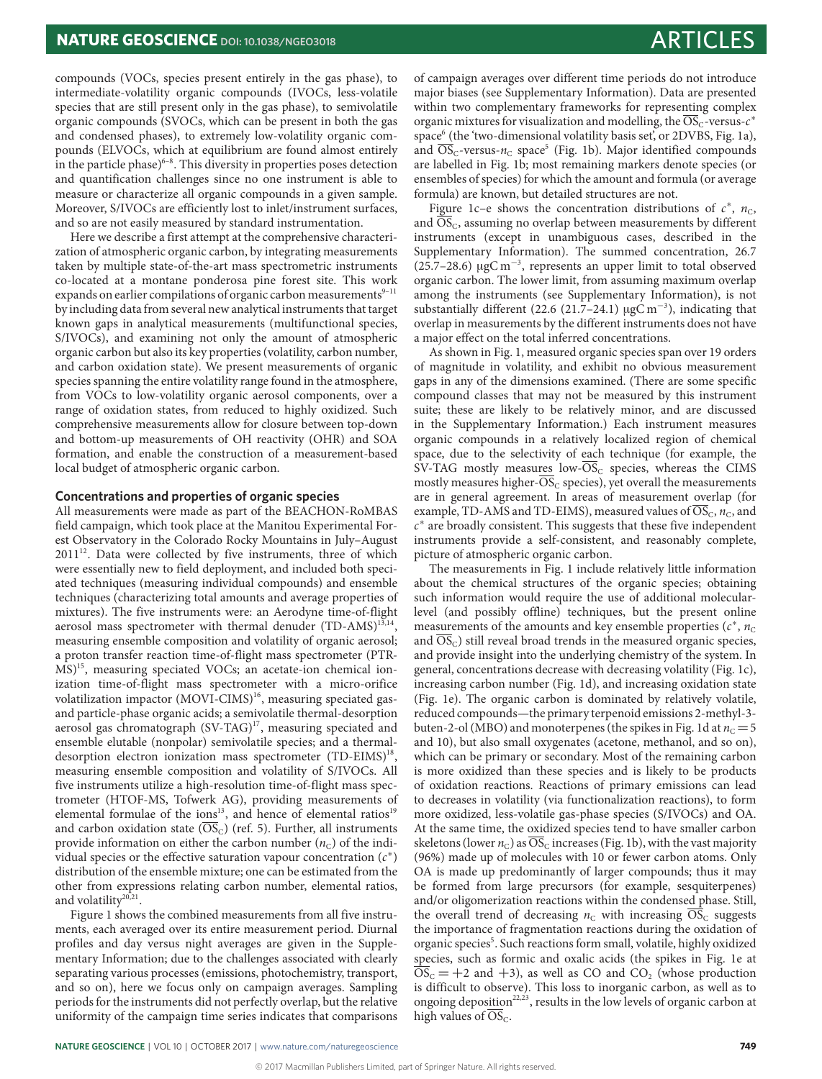compounds (VOCs, species present entirely in the gas phase), to intermediate-volatility organic compounds (IVOCs, less-volatile species that are still present only in the gas phase), to semivolatile organic compounds (SVOCs, which can be present in both the gas and condensed phases), to extremely low-volatility organic compounds (ELVOCs, which at equilibrium are found almost entirely in the particle phase) $6-8$  $6-8$ . This diversity in properties poses detection and quantification challenges since no one instrument is able to measure or characterize all organic compounds in a given sample. Moreover, S/IVOCs are efficiently lost to inlet/instrument surfaces, and so are not easily measured by standard instrumentation.

Here we describe a first attempt at the comprehensive characterization of atmospheric organic carbon, by integrating measurements taken by multiple state-of-the-art mass spectrometric instruments co-located at a montane ponderosa pine forest site. This work expands on earlier compilations of organic carbon measurements $9-11$  $9-11$ by including data from several new analytical instruments that target known gaps in analytical measurements (multifunctional species, S/IVOCs), and examining not only the amount of atmospheric organic carbon but also its key properties (volatility, carbon number, and carbon oxidation state). We present measurements of organic species spanning the entire volatility range found in the atmosphere, from VOCs to low-volatility organic aerosol components, over a range of oxidation states, from reduced to highly oxidized. Such comprehensive measurements allow for closure between top-down and bottom-up measurements of OH reactivity (OHR) and SOA formation, and enable the construction of a measurement-based local budget of atmospheric organic carbon.

# **Concentrations and properties of organic species**

All measurements were made as part of the BEACHON-RoMBAS field campaign, which took place at the Manitou Experimental Forest Observatory in the Colorado Rocky Mountains in July–August  $2011^{12}$  $2011^{12}$  $2011^{12}$ . Data were collected by five instruments, three of which were essentially new to field deployment, and included both speciated techniques (measuring individual compounds) and ensemble techniques (characterizing total amounts and average properties of mixtures). The five instruments were: an Aerodyne time-of-flight aerosol mass spectrometer with thermal denuder (TD-AMS)<sup>[13,](#page-4-10)[14](#page-4-11)</sup>, measuring ensemble composition and volatility of organic aerosol; a proton transfer reaction time-of-flight mass spectrometer (PTR-MS)<sup>[15](#page-4-12)</sup>, measuring speciated VOCs; an acetate-ion chemical ionization time-of-flight mass spectrometer with a micro-orifice volatilization impactor (MOVI-CIMS)<sup>[16](#page-4-13)</sup>, measuring speciated gasand particle-phase organic acids; a semivolatile thermal-desorption aerosol gas chromatograph (SV-TAG)<sup>[17](#page-4-14)</sup>, measuring speciated and ensemble elutable (nonpolar) semivolatile species; and a thermal-desorption electron ionization mass spectrometer (TD-EIMS)<sup>[18](#page-5-0)</sup>, measuring ensemble composition and volatility of S/IVOCs. All five instruments utilize a high-resolution time-of-flight mass spectrometer (HTOF-MS, Tofwerk AG), providing measurements of elemental formulae of the ions<sup>[13](#page-4-10)</sup>, and hence of elemental ratios<sup>[19](#page-5-1)</sup> and carbon oxidation state  $(\overline{OS}_C)$  (ref. [5\)](#page-4-4). Further, all instruments provide information on either the carbon number  $(n_c)$  of the individual species or the effective saturation vapour concentration  $(c^*)$ distribution of the ensemble mixture; one can be estimated from the other from expressions relating carbon number, elemental ratios, and volatility $20,21$  $20,21$ .

Figure [1](#page-2-0) shows the combined measurements from all five instruments, each averaged over its entire measurement period. Diurnal profiles and day versus night averages are given in the Supplementary Information; due to the challenges associated with clearly separating various processes (emissions, photochemistry, transport, and so on), here we focus only on campaign averages. Sampling periods for the instruments did not perfectly overlap, but the relative uniformity of the campaign time series indicates that comparisons

of campaign averages over different time periods do not introduce major biases (see Supplementary Information). Data are presented within two complementary frameworks for representing complex organic mixtures for visualization and modelling, the  $\overline{\mathrm{OS}}_\mathrm{C}\text{-versus-}c^\ast$ space<sup>[6](#page-4-5)</sup> (the 'two-dimensional volatility basis set', or 2DVBS, Fig. [1a\)](#page-2-0), and  $\overline{\mathrm{OS}}_{\mathrm{C}}$ -versus- $n_{\mathrm{C}}$  space<sup>[5](#page-4-4)</sup> (Fig. [1b\)](#page-2-0). Major identified compounds are labelled in Fig. [1b;](#page-2-0) most remaining markers denote species (or ensembles of species) for which the amount and formula (or average formula) are known, but detailed structures are not.

Figure 1c-e shows the concentration distributions of  $c^*$ ,  $n_c$ , and  $\overline{OS}_C$ , assuming no overlap between measurements by different instruments (except in unambiguous cases, described in the Supplementary Information). The summed concentration, 26.7 (25.7–28.6) µgC m<sup>−</sup><sup>3</sup> , represents an upper limit to total observed organic carbon. The lower limit, from assuming maximum overlap among the instruments (see Supplementary Information), is not substantially different (22.6 (21.7–24.1) µgC m<sup>-3</sup>), indicating that overlap in measurements by the different instruments does not have a major effect on the total inferred concentrations.

As shown in Fig. [1,](#page-2-0) measured organic species span over 19 orders of magnitude in volatility, and exhibit no obvious measurement gaps in any of the dimensions examined. (There are some specific compound classes that may not be measured by this instrument suite; these are likely to be relatively minor, and are discussed in the Supplementary Information.) Each instrument measures organic compounds in a relatively localized region of chemical space, due to the selectivity of each technique (for example, the SV-TAG mostly measures low- $\overline{\text{OS}}_{\text{C}}$  species, whereas the CIMS mostly measures higher- $\overline{\text{OS}}_{\text{C}}$  species), yet overall the measurements are in general agreement. In areas of measurement overlap (for example, TD-AMS and TD-EIMS), measured values of  $\overline{\text{OS}}_{\text{C}}$ ,  $n_{\text{C}}$ , and c ∗ are broadly consistent. This suggests that these five independent instruments provide a self-consistent, and reasonably complete, picture of atmospheric organic carbon.

The measurements in Fig. [1](#page-2-0) include relatively little information about the chemical structures of the organic species; obtaining such information would require the use of additional molecularlevel (and possibly offline) techniques, but the present online measurements of the amounts and key ensemble properties ( $c^*$ ,  $n_c$ and  $\overline{OS}_C$ ) still reveal broad trends in the measured organic species, and provide insight into the underlying chemistry of the system. In general, concentrations decrease with decreasing volatility (Fig. [1c\)](#page-2-0), increasing carbon number (Fig. [1d\)](#page-2-0), and increasing oxidation state (Fig. [1e\)](#page-2-0). The organic carbon is dominated by relatively volatile, reduced compounds—the primary terpenoid emissions 2-methyl-3- buten-2-ol (MBO) and monoterpenes (the spikes in Fig. [1d](#page-2-0) at  $n_c = 5$ and 10), but also small oxygenates (acetone, methanol, and so on), which can be primary or secondary. Most of the remaining carbon is more oxidized than these species and is likely to be products of oxidation reactions. Reactions of primary emissions can lead to decreases in volatility (via functionalization reactions), to form more oxidized, less-volatile gas-phase species (S/IVOCs) and OA. At the same time, the oxidized species tend to have smaller carbon skeletons (lower  $n_{\rm C}$ ) as  $\overline{\rm OS}_{\rm C}$  increases (Fig. [1b\)](#page-2-0), with the vast majority (96%) made up of molecules with 10 or fewer carbon atoms. Only OA is made up predominantly of larger compounds; thus it may be formed from large precursors (for example, sesquiterpenes) and/or oligomerization reactions within the condensed phase. Still, the overall trend of decreasing  $n_c$  with increasing  $\overline{OS}_c$  suggests the importance of fragmentation reactions during the oxidation of organic species<sup>[5](#page-4-4)</sup>. Such reactions form small, volatile, highly oxidized species, such as formic and oxalic acids (the spikes in Fig. [1e](#page-2-0) at  $\overline{OS}_c = +2$  and  $+3$ ), as well as CO and CO<sub>2</sub> (whose production is difficult to observe). This loss to inorganic carbon, as well as to ongoing deposition<sup>[22,](#page-5-4)[23](#page-5-5)</sup>, results in the low levels of organic carbon at high values of  $\overline{OS}_C$ .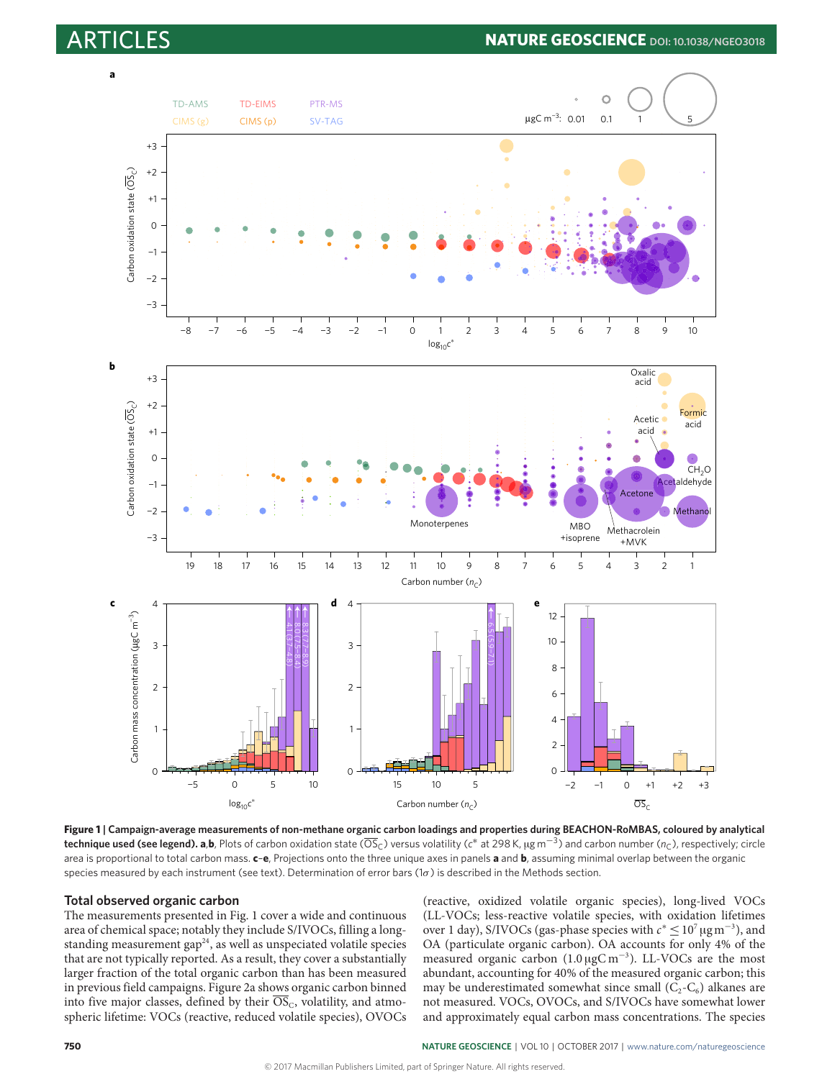# ARTICLES **NATURE GEOSCIENCE DOI: [10.1038/NGEO3018](http://dx.doi.org/10.1038/ngeo3018)**

<span id="page-2-0"></span>

**Figure 1 | Campaign-average measurements of non-methane organic carbon loadings and properties during BEACHON-RoMBAS, coloured by analytical technique used (see legend). a**,**b**, Plots of carbon oxidation state (OSC) versus volatility (*c* ∗ at 298 K, µg m−<sup>3</sup> ) and carbon number (*n*C), respectively; circle area is proportional to total carbon mass. **c**–**e**, Projections onto the three unique axes in panels **a** and **b**, assuming minimal overlap between the organic species measured by each instrument (see text). Determination of error bars (1 $\sigma$ ) is described in the Methods section.

# **Total observed organic carbon**

The measurements presented in Fig. [1](#page-2-0) cover a wide and continuous area of chemical space; notably they include S/IVOCs, filling a long-standing measurement gap<sup>[24](#page-5-6)</sup>, as well as unspeciated volatile species that are not typically reported. As a result, they cover a substantially larger fraction of the total organic carbon than has been measured in previous field campaigns. Figure [2a](#page-3-0) shows organic carbon binned into five major classes, defined by their  $OS<sub>C</sub>$ , volatility, and atmospheric lifetime: VOCs (reactive, reduced volatile species), OVOCs

(reactive, oxidized volatile organic species), long-lived VOCs (LL-VOCs; less-reactive volatile species, with oxidation lifetimes over 1 day), S/IVOCs (gas-phase species with  $c^* \le 10^7 \,\text{\ensuremath{\mu}g\,m}^{-3}$ ), and OA (particulate organic carbon). OA accounts for only 4% of the measured organic carbon (1.0 μgCm<sup>-3</sup>). LL-VOCs are the most abundant, accounting for 40% of the measured organic carbon; this may be underestimated somewhat since small  $(C_2-C_6)$  alkanes are not measured. VOCs, OVOCs, and S/IVOCs have somewhat lower and approximately equal carbon mass concentrations. The species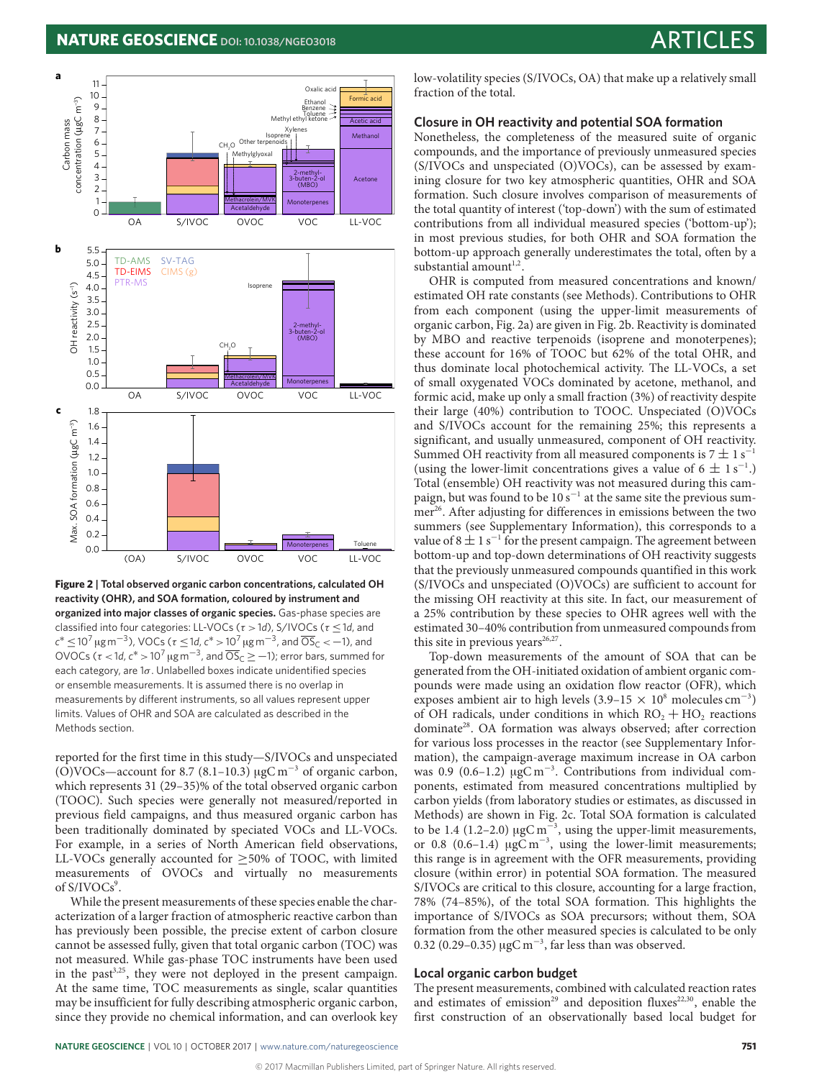

<span id="page-3-0"></span>

**Figure 2 | Total observed organic carbon concentrations, calculated OH reactivity (OHR), and SOA formation, coloured by instrument and organized into major classes of organic species.** Gas-phase species are classified into four categories: LL-VOCs (τ >1*d*), S/IVOCs (τ ≤1*d*, and  $c^*$  ≤10<sup>7</sup> μg m<sup>-3</sup>), VOCs (τ ≤1*d*,  $c^*$  > 10<sup>7</sup> μg m<sup>-3</sup>, and  $\overline{OS}_C$  < −1), and OVOCs ( $\tau$  < 1*d*,  $c^*$  > 10<sup>7</sup>  $\mu$ g m<sup>-3</sup>, and  $\overline{OS}_C \ge -1$ ); error bars, summed for each category, are 1σ. Unlabelled boxes indicate unidentified species or ensemble measurements. It is assumed there is no overlap in measurements by different instruments, so all values represent upper limits. Values of OHR and SOA are calculated as described in the Methods section.

reported for the first time in this study—S/IVOCs and unspeciated (O)VOCs—account for 8.7 (8.1–10.3) µgC m<sup>-3</sup> of organic carbon, which represents 31 (29–35)% of the total observed organic carbon (TOOC). Such species were generally not measured/reported in previous field campaigns, and thus measured organic carbon has been traditionally dominated by speciated VOCs and LL-VOCs. For example, in a series of North American field observations, LL-VOCs generally accounted for  $\geq$ 50% of TOOC, with limited measurements of OVOCs and virtually no measurements of  $S/IVOCs<sup>9</sup>$  $S/IVOCs<sup>9</sup>$  $S/IVOCs<sup>9</sup>$ .

While the present measurements of these species enable the characterization of a larger fraction of atmospheric reactive carbon than has previously been possible, the precise extent of carbon closure cannot be assessed fully, given that total organic carbon (TOC) was not measured. While gas-phase TOC instruments have been used in the past $3,25$  $3,25$ , they were not deployed in the present campaign. At the same time, TOC measurements as single, scalar quantities may be insufficient for fully describing atmospheric organic carbon, since they provide no chemical information, and can overlook key low-volatility species (S/IVOCs, OA) that make up a relatively small fraction of the total.

# **Closure in OH reactivity and potential SOA formation**

Nonetheless, the completeness of the measured suite of organic compounds, and the importance of previously unmeasured species (S/IVOCs and unspeciated (O)VOCs), can be assessed by examining closure for two key atmospheric quantities, OHR and SOA formation. Such closure involves comparison of measurements of the total quantity of interest ('top-down') with the sum of estimated contributions from all individual measured species ('bottom-up'); in most previous studies, for both OHR and SOA formation the bottom-up approach generally underestimates the total, often by a substantial amount $1,2$  $1,2$ .

OHR is computed from measured concentrations and known/ estimated OH rate constants (see Methods). Contributions to OHR from each component (using the upper-limit measurements of organic carbon, Fig. [2a\)](#page-3-0) are given in Fig. [2b.](#page-3-0) Reactivity is dominated by MBO and reactive terpenoids (isoprene and monoterpenes); these account for 16% of TOOC but 62% of the total OHR, and thus dominate local photochemical activity. The LL-VOCs, a set of small oxygenated VOCs dominated by acetone, methanol, and formic acid, make up only a small fraction (3%) of reactivity despite their large (40%) contribution to TOOC. Unspeciated (O)VOCs and S/IVOCs account for the remaining 25%; this represents a significant, and usually unmeasured, component of OH reactivity. Summed OH reactivity from all measured components is  $7 \pm 1$  s<sup>−1</sup> (using the lower-limit concentrations gives a value of  $6 \pm 1 \text{ s}^{-1}$ .) Total (ensemble) OH reactivity was not measured during this campaign, but was found to be  $10 s^{-1}$  at the same site the previous sum-mer<sup>[26](#page-5-8)</sup>. After adjusting for differences in emissions between the two summers (see Supplementary Information), this corresponds to a value of  $8 \pm 1$  s<sup>-1</sup> for the present campaign. The agreement between bottom-up and top-down determinations of OH reactivity suggests that the previously unmeasured compounds quantified in this work (S/IVOCs and unspeciated (O)VOCs) are sufficient to account for the missing OH reactivity at this site. In fact, our measurement of a 25% contribution by these species to OHR agrees well with the estimated 30–40% contribution from unmeasured compounds from this site in previous years $26,27$  $26,27$ .

Top-down measurements of the amount of SOA that can be generated from the OH-initiated oxidation of ambient organic compounds were made using an oxidation flow reactor (OFR), which exposes ambient air to high levels (3.9–15  $\times$  10<sup>8</sup> molecules cm<sup>-3</sup>) of OH radicals, under conditions in which  $RO<sub>2</sub> + HO<sub>2</sub>$  reactions dominate<sup>[28](#page-5-10)</sup>. OA formation was always observed; after correction for various loss processes in the reactor (see Supplementary Information), the campaign-average maximum increase in OA carbon was 0.9 (0.6–1.2) µgC m<sup>-3</sup>. Contributions from individual components, estimated from measured concentrations multiplied by carbon yields (from laboratory studies or estimates, as discussed in Methods) are shown in Fig. [2c.](#page-3-0) Total SOA formation is calculated to be 1.4 (1.2–2.0) µgC m<sup> $-3$ </sup>, using the upper-limit measurements, or 0.8 (0.6–1.4)  $\mu$ gCm<sup>-3</sup>, using the lower-limit measurements; this range is in agreement with the OFR measurements, providing closure (within error) in potential SOA formation. The measured S/IVOCs are critical to this closure, accounting for a large fraction, 78% (74–85%), of the total SOA formation. This highlights the importance of S/IVOCs as SOA precursors; without them, SOA formation from the other measured species is calculated to be only 0.32 (0.29–0.35) µgC m<sup>−</sup><sup>3</sup> , far less than was observed.

# **Local organic carbon budget**

The present measurements, combined with calculated reaction rates and estimates of emission<sup>[29](#page-5-11)</sup> and deposition fluxes<sup>[22](#page-5-4)[,30](#page-5-12)</sup>, enable the first construction of an observationally based local budget for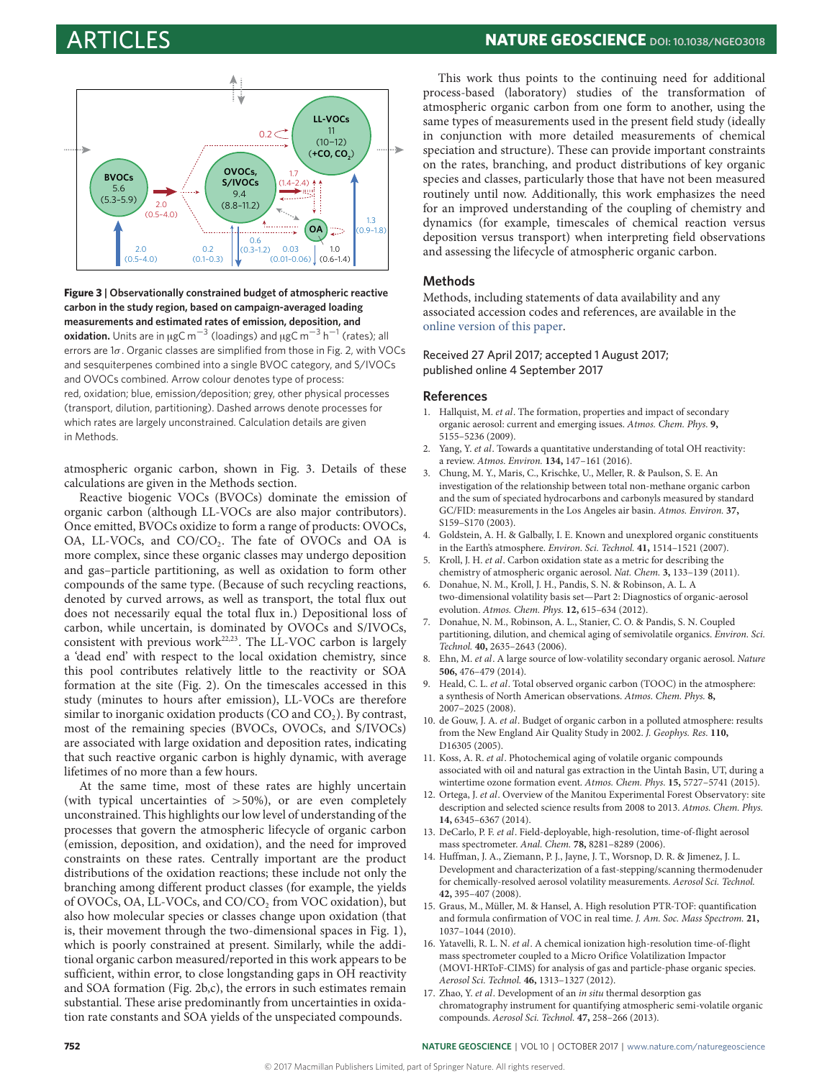<span id="page-4-15"></span>

**Figure 3 | Observationally constrained budget of atmospheric reactive carbon in the study region, based on campaign-averaged loading measurements and estimated rates of emission, deposition, and oxidation.** Units are in µgC m<sup>−3</sup> (loadings) and µgC m<sup>−3</sup> h<sup>−1</sup> (rates); all errors are  $1\sigma$ . Organic classes are simplified from those in Fig. [2,](#page-3-0) with VOCs and sesquiterpenes combined into a single BVOC category, and S/IVOCs and OVOCs combined. Arrow colour denotes type of process: red, oxidation; blue, emission/deposition; grey, other physical processes (transport, dilution, partitioning). Dashed arrows denote processes for which rates are largely unconstrained. Calculation details are given in Methods.

atmospheric organic carbon, shown in Fig. [3.](#page-4-15) Details of these calculations are given in the Methods section.

Reactive biogenic VOCs (BVOCs) dominate the emission of organic carbon (although LL-VOCs are also major contributors). Once emitted, BVOCs oxidize to form a range of products: OVOCs, OA, LL-VOCs, and  $CO/CO<sub>2</sub>$ . The fate of OVOCs and OA is more complex, since these organic classes may undergo deposition and gas–particle partitioning, as well as oxidation to form other compounds of the same type. (Because of such recycling reactions, denoted by curved arrows, as well as transport, the total flux out does not necessarily equal the total flux in.) Depositional loss of carbon, while uncertain, is dominated by OVOCs and S/IVOCs, consistent with previous work<sup>[22,](#page-5-4)[23](#page-5-5)</sup>. The LL-VOC carbon is largely a 'dead end' with respect to the local oxidation chemistry, since this pool contributes relatively little to the reactivity or SOA formation at the site (Fig. [2\)](#page-3-0). On the timescales accessed in this study (minutes to hours after emission), LL-VOCs are therefore similar to inorganic oxidation products (CO and  $CO<sub>2</sub>$ ). By contrast, most of the remaining species (BVOCs, OVOCs, and S/IVOCs) are associated with large oxidation and deposition rates, indicating that such reactive organic carbon is highly dynamic, with average lifetimes of no more than a few hours.

At the same time, most of these rates are highly uncertain (with typical uncertainties of >50%), or are even completely unconstrained. This highlights our low level of understanding of the processes that govern the atmospheric lifecycle of organic carbon (emission, deposition, and oxidation), and the need for improved constraints on these rates. Centrally important are the product distributions of the oxidation reactions; these include not only the branching among different product classes (for example, the yields of OVOCs, OA, LL-VOCs, and  $CO/CO_2$  from VOC oxidation), but also how molecular species or classes change upon oxidation (that is, their movement through the two-dimensional spaces in Fig. [1\)](#page-2-0), which is poorly constrained at present. Similarly, while the additional organic carbon measured/reported in this work appears to be sufficient, within error, to close longstanding gaps in OH reactivity and SOA formation (Fig. [2b,c\)](#page-3-0), the errors in such estimates remain substantial. These arise predominantly from uncertainties in oxidation rate constants and SOA yields of the unspeciated compounds.

This work thus points to the continuing need for additional process-based (laboratory) studies of the transformation of atmospheric organic carbon from one form to another, using the same types of measurements used in the present field study (ideally in conjunction with more detailed measurements of chemical speciation and structure). These can provide important constraints on the rates, branching, and product distributions of key organic species and classes, particularly those that have not been measured routinely until now. Additionally, this work emphasizes the need for an improved understanding of the coupling of chemistry and dynamics (for example, timescales of chemical reaction versus deposition versus transport) when interpreting field observations and assessing the lifecycle of atmospheric organic carbon.

# **Methods**

Methods, including statements of data availability and any associated accession codes and references, are available in the [online version of this paper.](http://dx.doi.org/10.1038/ngeo3018)

Received 27 April 2017; accepted 1 August 2017; published online 4 September 2017

## **References**

- <span id="page-4-0"></span>1. Hallquist, M. et al. The formation, properties and impact of secondary organic aerosol: current and emerging issues. Atmos. Chem. Phys. **9,** 5155–5236 (2009).
- <span id="page-4-1"></span>2. Yang, Y. et al. Towards a quantitative understanding of total OH reactivity: a review. Atmos. Environ. **134,** 147–161 (2016).
- <span id="page-4-2"></span>3. Chung, M. Y., Maris, C., Krischke, U., Meller, R. & Paulson, S. E. An investigation of the relationship between total non-methane organic carbon and the sum of speciated hydrocarbons and carbonyls measured by standard GC/FID: measurements in the Los Angeles air basin. Atmos. Environ. **37,** S159–S170 (2003).
- <span id="page-4-3"></span>4. Goldstein, A. H. & Galbally, I. E. Known and unexplored organic constituents in the Earth's atmosphere. Environ. Sci. Technol. **41,** 1514–1521 (2007).
- <span id="page-4-4"></span>5. Kroll, J. H. et al. Carbon oxidation state as a metric for describing the chemistry of atmospheric organic aerosol. Nat. Chem. **3,** 133–139 (2011).
- <span id="page-4-5"></span>6. Donahue, N. M., Kroll, J. H., Pandis, S. N. & Robinson, A. L. A two-dimensional volatility basis set—Part 2: Diagnostics of organic-aerosol evolution. Atmos. Chem. Phys. **12,** 615–634 (2012).
- 7. Donahue, N. M., Robinson, A. L., Stanier, C. O. & Pandis, S. N. Coupled partitioning, dilution, and chemical aging of semivolatile organics. Environ. Sci. Technol. **40,** 2635–2643 (2006).
- <span id="page-4-6"></span>8. Ehn, M. et al. A large source of low-volatility secondary organic aerosol. Nature **506,** 476–479 (2014).
- <span id="page-4-7"></span>9. Heald, C. L. et al. Total observed organic carbon (TOOC) in the atmosphere: a synthesis of North American observations. Atmos. Chem. Phys. **8,** 2007–2025 (2008).
- 10. de Gouw, J. A. et al. Budget of organic carbon in a polluted atmosphere: results from the New England Air Quality Study in 2002. J. Geophys. Res. **110,** D16305 (2005).
- <span id="page-4-8"></span>11. Koss, A. R. et al. Photochemical aging of volatile organic compounds associated with oil and natural gas extraction in the Uintah Basin, UT, during a wintertime ozone formation event. Atmos. Chem. Phys. **15,** 5727–5741 (2015).
- <span id="page-4-9"></span>12. Ortega, J. et al. Overview of the Manitou Experimental Forest Observatory: site description and selected science results from 2008 to 2013. Atmos. Chem. Phys. **14,** 6345–6367 (2014).
- <span id="page-4-10"></span>13. DeCarlo, P. F. et al. Field-deployable, high-resolution, time-of-flight aerosol mass spectrometer. Anal. Chem. **78,** 8281–8289 (2006).
- <span id="page-4-11"></span>14. Huffman, J. A., Ziemann, P. J., Jayne, J. T., Worsnop, D. R. & Jimenez, J. L. Development and characterization of a fast-stepping/scanning thermodenuder for chemically-resolved aerosol volatility measurements. Aerosol Sci. Technol. **42,** 395–407 (2008).
- <span id="page-4-12"></span>15. Graus, M., Müller, M. & Hansel, A. High resolution PTR-TOF: quantification and formula confirmation of VOC in real time. J. Am. Soc. Mass Spectrom. **21,** 1037–1044 (2010).
- <span id="page-4-13"></span>16. Yatavelli, R. L. N. et al. A chemical ionization high-resolution time-of-flight mass spectrometer coupled to a Micro Orifice Volatilization Impactor (MOVI-HRToF-CIMS) for analysis of gas and particle-phase organic species. Aerosol Sci. Technol. **46,** 1313–1327 (2012).
- <span id="page-4-14"></span>17. Zhao, Y. et al. Development of an in situ thermal desorption gas chromatography instrument for quantifying atmospheric semi-volatile organic compounds. Aerosol Sci. Technol. **47,** 258–266 (2013).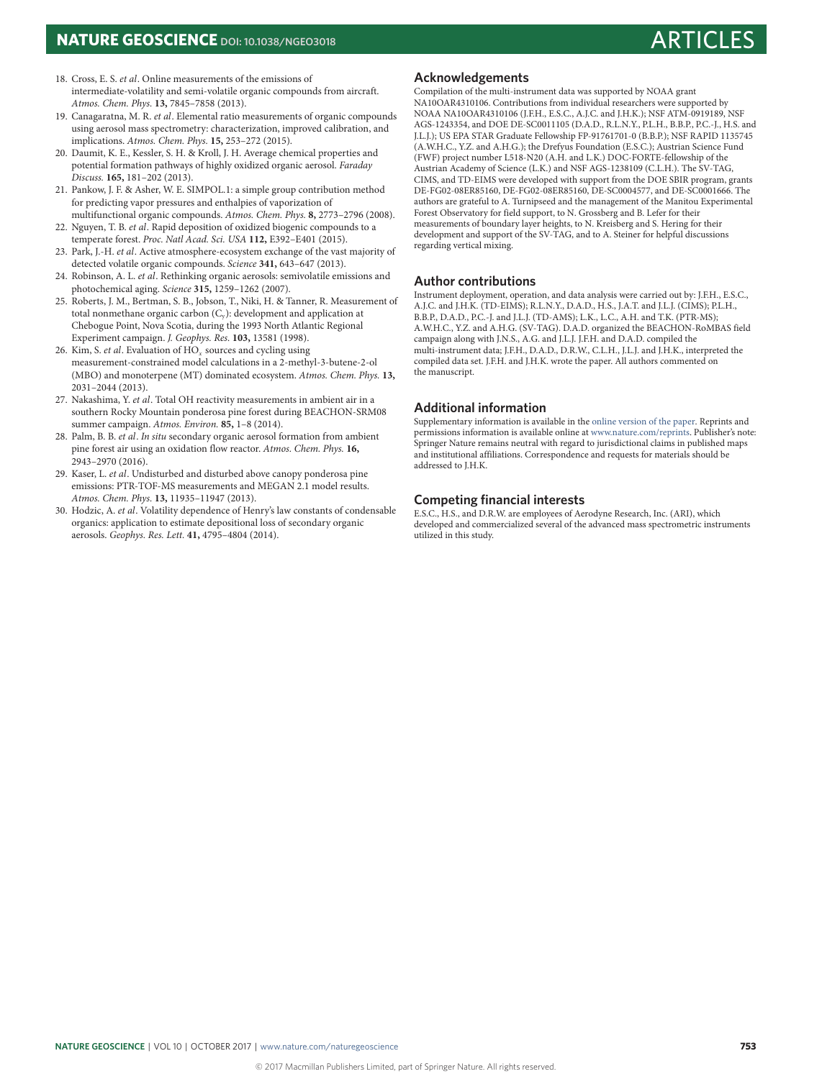# **NATURE GEOSCIENCE** DOI: [10.1038/NGEO3018](http://dx.doi.org/10.1038/ngeo3018)

- <span id="page-5-0"></span>18. Cross, E. S. et al. Online measurements of the emissions of intermediate-volatility and semi-volatile organic compounds from aircraft. Atmos. Chem. Phys. **13,** 7845–7858 (2013).
- <span id="page-5-1"></span>19. Canagaratna, M. R. et al. Elemental ratio measurements of organic compounds using aerosol mass spectrometry: characterization, improved calibration, and implications. Atmos. Chem. Phys. **15,** 253–272 (2015).
- <span id="page-5-2"></span>20. Daumit, K. E., Kessler, S. H. & Kroll, J. H. Average chemical properties and potential formation pathways of highly oxidized organic aerosol. Faraday Discuss. **165,** 181–202 (2013).
- <span id="page-5-3"></span>21. Pankow, J. F. & Asher, W. E. SIMPOL.1: a simple group contribution method for predicting vapor pressures and enthalpies of vaporization of multifunctional organic compounds. Atmos. Chem. Phys. **8,** 2773–2796 (2008).
- <span id="page-5-4"></span>22. Nguyen, T. B. et al. Rapid deposition of oxidized biogenic compounds to a temperate forest. Proc. Natl Acad. Sci. USA **112,** E392–E401 (2015).
- <span id="page-5-5"></span>23. Park, J.-H. et al. Active atmosphere-ecosystem exchange of the vast majority of detected volatile organic compounds. Science **341,** 643–647 (2013).
- <span id="page-5-6"></span>24. Robinson, A. L. et al. Rethinking organic aerosols: semivolatile emissions and photochemical aging. Science **315,** 1259–1262 (2007).
- <span id="page-5-7"></span>25. Roberts, J. M., Bertman, S. B., Jobson, T., Niki, H. & Tanner, R. Measurement of total nonmethane organic carbon (C<sub>v</sub>): development and application at Chebogue Point, Nova Scotia, during the 1993 North Atlantic Regional Experiment campaign. J. Geophys. Res. **103,** 13581 (1998).
- <span id="page-5-8"></span>26. Kim, S. et al. Evaluation of  $HO<sub>x</sub>$  sources and cycling using measurement-constrained model calculations in a 2-methyl-3-butene-2-ol (MBO) and monoterpene (MT) dominated ecosystem. Atmos. Chem. Phys. **13,** 2031–2044 (2013).
- <span id="page-5-9"></span>27. Nakashima, Y. et al. Total OH reactivity measurements in ambient air in a southern Rocky Mountain ponderosa pine forest during BEACHON-SRM08 summer campaign. Atmos. Environ. **85,** 1–8 (2014).
- <span id="page-5-10"></span>28. Palm, B. B. et al. In situ secondary organic aerosol formation from ambient pine forest air using an oxidation flow reactor. Atmos. Chem. Phys. **16,** 2943–2970 (2016).
- <span id="page-5-11"></span>29. Kaser, L. et al. Undisturbed and disturbed above canopy ponderosa pine emissions: PTR-TOF-MS measurements and MEGAN 2.1 model results. Atmos. Chem. Phys. **13,** 11935–11947 (2013).
- <span id="page-5-12"></span>30. Hodzic, A. et al. Volatility dependence of Henry's law constants of condensable organics: application to estimate depositional loss of secondary organic aerosols. Geophys. Res. Lett. **41,** 4795–4804 (2014).

# **Acknowledgements**

Compilation of the multi-instrument data was supported by NOAA grant NA10OAR4310106. Contributions from individual researchers were supported by NOAA NA10OAR4310106 (J.F.H., E.S.C., A.J.C. and J.H.K.); NSF ATM-0919189, NSF AGS-1243354, and DOE DE-SC0011105 (D.A.D., R.L.N.Y., P.L.H., B.B.P., P.C.-J., H.S. and J.L.J.); US EPA STAR Graduate Fellowship FP-91761701-0 (B.B.P.); NSF RAPID 1135745 (A.W.H.C., Y.Z. and A.H.G.); the Drefyus Foundation (E.S.C.); Austrian Science Fund (FWF) project number L518-N20 (A.H. and L.K.) DOC-FORTE-fellowship of the Austrian Academy of Science (L.K.) and NSF AGS-1238109 (C.L.H.). The SV-TAG, CIMS, and TD-EIMS were developed with support from the DOE SBIR program, grants DE-FG02-08ER85160, DE-FG02-08ER85160, DE-SC0004577, and DE-SC0001666. The authors are grateful to A. Turnipseed and the management of the Manitou Experimental Forest Observatory for field support, to N. Grossberg and B. Lefer for their measurements of boundary layer heights, to N. Kreisberg and S. Hering for their development and support of the SV-TAG, and to A. Steiner for helpful discussions regarding vertical mixing.

# **Author contributions**

Instrument deployment, operation, and data analysis were carried out by: J.F.H., E.S.C., A.J.C. and J.H.K. (TD-EIMS); R.L.N.Y., D.A.D., H.S., J.A.T. and J.L.J. (CIMS); P.L.H., B.B.P., D.A.D., P.C.-J. and J.L.J. (TD-AMS); L.K., L.C., A.H. and T.K. (PTR-MS); A.W.H.C., Y.Z. and A.H.G. (SV-TAG). D.A.D. organized the BEACHON-RoMBAS field campaign along with J.N.S., A.G. and J.L.J. J.F.H. and D.A.D. compiled the multi-instrument data; J.F.H., D.A.D., D.R.W., C.L.H., J.L.J. and J.H.K., interpreted the compiled data set. J.F.H. and J.H.K. wrote the paper. All authors commented on the manuscript.

# **Additional information**

Supplementary information is available in the [online version of the paper.](http://dx.doi.org/10.1038/ngeo3018) Reprints and permissions information is available online at [www.nature.com/reprints.](http://www.nature.com/reprints) Publisher's note: Springer Nature remains neutral with regard to jurisdictional claims in published maps and institutional affiliations. Correspondence and requests for materials should be addressed to J.H.K.

## **Competing financial interests**

E.S.C., H.S., and D.R.W. are employees of Aerodyne Research, Inc. (ARI), which developed and commercialized several of the advanced mass spectrometric instruments utilized in this study.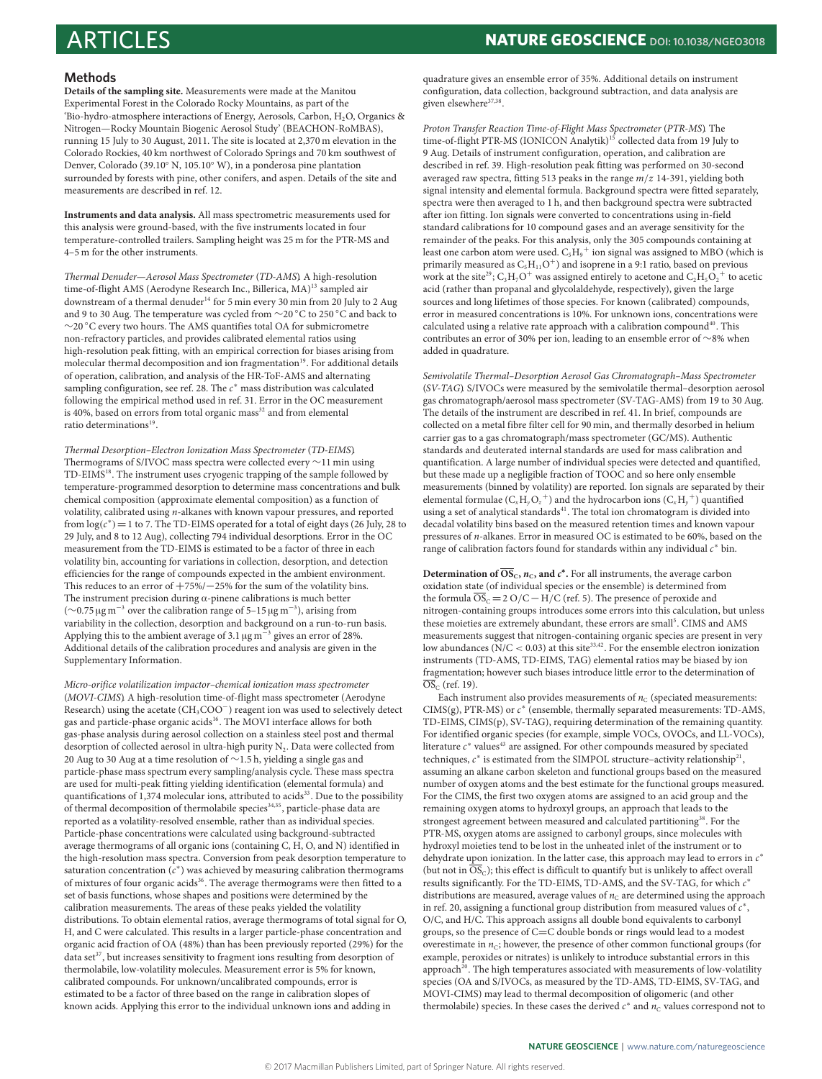# **Methods**

**Details of the sampling site.** Measurements were made at the Manitou Experimental Forest in the Colorado Rocky Mountains, as part of the 'Bio-hydro-atmosphere interactions of Energy, Aerosols, Carbon,  $H_2O$ , Organics & Nitrogen—Rocky Mountain Biogenic Aerosol Study' (BEACHON-RoMBAS), running 15 July to 30 August, 2011. The site is located at 2,370 m elevation in the Colorado Rockies, 40 km northwest of Colorado Springs and 70 km southwest of Denver, Colorado (39.10◦ N, 105.10◦ W), in a ponderosa pine plantation surrounded by forests with pine, other conifers, and aspen. Details of the site and measurements are described in ref. [12.](#page-4-9)

**Instruments and data analysis.** All mass spectrometric measurements used for this analysis were ground-based, with the five instruments located in four temperature-controlled trailers. Sampling height was 25 m for the PTR-MS and 4–5 m for the other instruments.

Thermal Denuder—Aerosol Mass Spectrometer (TD-AMS). A high-resolution time-of-flight AMS (Aerodyne Research Inc., Billerica, MA)<sup>[13](#page-4-10)</sup> sampled air downstream of a thermal denuder<sup>[14](#page-4-11)</sup> for 5 min every 30 min from 20 July to 2 Aug and 9 to 30 Aug. The temperature was cycled from ∼20 ◦C to 250 ◦C and back to ∼20 ◦C every two hours. The AMS quantifies total OA for submicrometre non-refractory particles, and provides calibrated elemental ratios using high-resolution peak fitting, with an empirical correction for biases arising from molecular thermal decomposition and ion fragmentation<sup>[19](#page-5-1)</sup>. For additional details of operation, calibration, and analysis of the HR-ToF-AMS and alternating sampling configuration, see ref. [28.](#page-5-10) The  $c^*$  mass distribution was calculated following the empirical method used in ref. [31.](#page-7-0) Error in the OC measurement is 40%, based on errors from total organic mass<sup>[32](#page-7-1)</sup> and from elemental ratio determinations<sup>[19](#page-5-1)</sup>.

Thermal Desorption–Electron Ionization Mass Spectrometer (TD-EIMS). Thermograms of S/IVOC mass spectra were collected every ∼11 min using TD-EIMS<sup>[18](#page-5-0)</sup>. The instrument uses cryogenic trapping of the sample followed by temperature-programmed desorption to determine mass concentrations and bulk chemical composition (approximate elemental composition) as a function of volatility, calibrated using n-alkanes with known vapour pressures, and reported from  $log(c^*) = 1$  to 7. The TD-EIMS operated for a total of eight days (26 July, 28 to 29 July, and 8 to 12 Aug), collecting 794 individual desorptions. Error in the OC measurement from the TD-EIMS is estimated to be a factor of three in each volatility bin, accounting for variations in collection, desorption, and detection efficiencies for the range of compounds expected in the ambient environment. This reduces to an error of  $+75%$ / $-25%$  for the sum of the volatility bins. The instrument precision during  $\alpha$ -pinene calibrations is much better (∼0.75 µg m<sup>−</sup><sup>3</sup> over the calibration range of 5–15 µg m<sup>−</sup><sup>3</sup> ), arising from variability in the collection, desorption and background on a run-to-run basis. Applying this to the ambient average of 3.1  $\mu$ g m<sup>-3</sup> gives an error of 28%. Additional details of the calibration procedures and analysis are given in the Supplementary Information.

Micro-orifice volatilization impactor–chemical ionization mass spectrometer (MOVI-CIMS). A high-resolution time-of-flight mass spectrometer (Aerodyne Research) using the acetate (CH<sub>3</sub>COO<sup>-</sup>) reagent ion was used to selectively detect gas and particle-phase organic acids<sup>[16](#page-4-13)</sup>. The MOVI interface allows for both gas-phase analysis during aerosol collection on a stainless steel post and thermal desorption of collected aerosol in ultra-high purity  $\mathrm{N}_2.$  Data were collected from 20 Aug to 30 Aug at a time resolution of ∼1.5 h, yielding a single gas and particle-phase mass spectrum every sampling/analysis cycle. These mass spectra are used for multi-peak fitting yielding identification (elemental formula) and quantifications of 1,374 molecular ions, attributed to acids<sup>[33](#page-7-2)</sup>. Due to the possibility of thermal decomposition of thermolabile species<sup>[34](#page-7-3)[,35](#page-7-4)</sup>, particle-phase data are reported as a volatility-resolved ensemble, rather than as individual species. Particle-phase concentrations were calculated using background-subtracted average thermograms of all organic ions (containing C, H, O, and N) identified in the high-resolution mass spectra. Conversion from peak desorption temperature to saturation concentration  $(c^*)$  was achieved by measuring calibration thermograms of mixtures of four organic acids<sup>[36](#page-7-5)</sup>. The average thermograms were then fitted to a set of basis functions, whose shapes and positions were determined by the calibration measurements. The areas of these peaks yielded the volatility distributions. To obtain elemental ratios, average thermograms of total signal for O, H, and C were calculated. This results in a larger particle-phase concentration and organic acid fraction of OA (48%) than has been previously reported (29%) for the data set $37$ , but increases sensitivity to fragment ions resulting from desorption of thermolabile, low-volatility molecules. Measurement error is 5% for known, calibrated compounds. For unknown/uncalibrated compounds, error is estimated to be a factor of three based on the range in calibration slopes of known acids. Applying this error to the individual unknown ions and adding in

quadrature gives an ensemble error of 35%. Additional details on instrument configuration, data collection, background subtraction, and data analysis are given elsewhere<sup>[37,](#page-7-6)[38](#page-7-7)</sup>.

Proton Transfer Reaction Time-of-Flight Mass Spectrometer (PTR-MS). The time-of-flight PTR-MS (IONICON Analytik)<sup>[15](#page-4-12)</sup> collected data from 19 July to 9 Aug. Details of instrument configuration, operation, and calibration are described in ref. [39.](#page-7-8) High-resolution peak fitting was performed on 30-second averaged raw spectra, fitting 513 peaks in the range  $m/z$  14-391, yielding both signal intensity and elemental formula. Background spectra were fitted separately, spectra were then averaged to 1 h, and then background spectra were subtracted after ion fitting. Ion signals were converted to concentrations using in-field standard calibrations for 10 compound gases and an average sensitivity for the remainder of the peaks. For this analysis, only the 305 compounds containing at least one carbon atom were used.  $\mathrm{C_5H_9}^+$  ion signal was assigned to MBO (which is primarily measured as  $\rm C_5H_{11}O^+$  ) and isoprene in a 9:1 ratio, based on previous work at the site<br> $^{29};\mathrm{C_3H_7O}^+$  $^{29};\mathrm{C_3H_7O}^+$  $^{29};\mathrm{C_3H_7O}^+$  was assigned entirely to acetone and<br>  $\mathrm{C_2H_5O_2}^+$  to acetic acid (rather than propanal and glycolaldehyde, respectively), given the large sources and long lifetimes of those species. For known (calibrated) compounds, error in measured concentrations is 10%. For unknown ions, concentrations were calculated using a relative rate approach with a calibration compound<sup>[40](#page-7-9)</sup>. This contributes an error of 30% per ion, leading to an ensemble error of ∼8% when added in quadrature.

Semivolatile Thermal–Desorption Aerosol Gas Chromatograph–Mass Spectrometer (SV-TAG). S/IVOCs were measured by the semivolatile thermal–desorption aerosol gas chromatograph/aerosol mass spectrometer (SV-TAG-AMS) from 19 to 30 Aug. The details of the instrument are described in ref. [41.](#page-7-10) In brief, compounds are collected on a metal fibre filter cell for 90 min, and thermally desorbed in helium carrier gas to a gas chromatograph/mass spectrometer (GC/MS). Authentic standards and deuterated internal standards are used for mass calibration and quantification. A large number of individual species were detected and quantified, but these made up a negligible fraction of TOOC and so here only ensemble measurements (binned by volatility) are reported. Ion signals are separated by their elemental formulae ( $C_xH_yO_z$ <sup>+</sup>) and the hydrocarbon ions ( $C_xH_y$ <sup>+</sup>) quantified using a set of analytical standards<sup>[41](#page-7-10)</sup>. The total ion chromatogram is divided into decadal volatility bins based on the measured retention times and known vapour pressures of n-alkanes. Error in measured OC is estimated to be 60%, based on the range of calibration factors found for standards within any individual  $c^*$  bin.

**Determination of**  $\overline{OS}_c$ **,**  $n_c$ **, and**  $c^*$ **.** For all instruments, the average carbon oxidation state (of individual species or the ensemble) is determined from the formula  $\overline{OS}_C = 2$  O/C − H/C (ref. [5\)](#page-4-4). The presence of peroxide and nitrogen-containing groups introduces some errors into this calculation, but unless these moieties are extremely abundant, these errors are small<sup>[5](#page-4-4)</sup>. CIMS and AMS measurements suggest that nitrogen-containing organic species are present in very low abundances ( $\overline{N}/C$  < 0.03) at this site<sup>[33,](#page-7-2)[42](#page-7-11)</sup>. For the ensemble electron ionization instruments (TD-AMS, TD-EIMS, TAG) elemental ratios may be biased by ion fragmentation; however such biases introduce little error to the determination of  $\overline{\text{OS}}_{\text{C}}$  (ref. [19\)](#page-5-1).

Each instrument also provides measurements of  $n<sub>C</sub>$  (speciated measurements: CIMS(g), PTR-MS) or  $c^*$  (ensemble, thermally separated measurements: TD-AMS, TD-EIMS, CIMS(p), SV-TAG), requiring determination of the remaining quantity. For identified organic species (for example, simple VOCs, OVOCs, and LL-VOCs), literature  $c^*$  values<sup>[43](#page-7-12)</sup> are assigned. For other compounds measured by speciated techniques,  $c^*$  is estimated from the SIMPOL structure-activity relationship<sup>[21](#page-5-3)</sup>, assuming an alkane carbon skeleton and functional groups based on the measured number of oxygen atoms and the best estimate for the functional groups measured. For the CIMS, the first two oxygen atoms are assigned to an acid group and the remaining oxygen atoms to hydroxyl groups, an approach that leads to the strongest agreement between measured and calculated partitioning<sup>[38](#page-7-7)</sup>. For the PTR-MS, oxygen atoms are assigned to carbonyl groups, since molecules with hydroxyl moieties tend to be lost in the unheated inlet of the instrument or to dehydrate upon ionization. In the latter case, this approach may lead to errors in  $c^*$ (but not in  $\overline{OS}_c$ ); this effect is difficult to quantify but is unlikely to affect overall results significantly. For the TD-EIMS, TD-AMS, and the SV-TAG, for which  $c^*$ distributions are measured, average values of  $n<sub>C</sub>$  are determined using the approach in ref. [20,](#page-5-2) assigning a functional group distribution from measured values of  $c^*$ , O/C, and H/C. This approach assigns all double bond equivalents to carbonyl groups, so the presence of C=C double bonds or rings would lead to a modest overestimate in  $n<sub>C</sub>$ ; however, the presence of other common functional groups (for example, peroxides or nitrates) is unlikely to introduce substantial errors in this approach<sup>[20](#page-5-2)</sup>. The high temperatures associated with measurements of low-volatility species (OA and S/IVOCs, as measured by the TD-AMS, TD-EIMS, SV-TAG, and MOVI-CIMS) may lead to thermal decomposition of oligomeric (and other thermolabile) species. In these cases the derived  $c^*$  and  $n_c$  values correspond not to